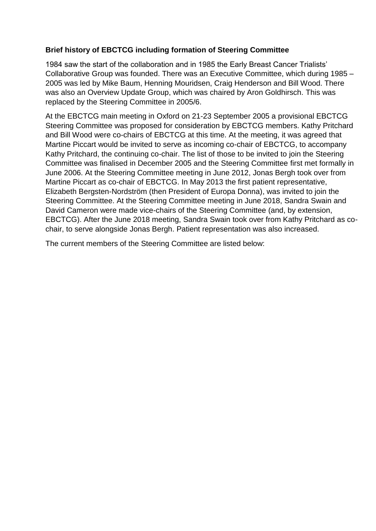## **Brief history of EBCTCG including formation of Steering Committee**

1984 saw the start of the collaboration and in 1985 the Early Breast Cancer Trialists' Collaborative Group was founded. There was an Executive Committee, which during 1985 – 2005 was led by Mike Baum, Henning Mouridsen, Craig Henderson and Bill Wood. There was also an Overview Update Group, which was chaired by Aron Goldhirsch. This was replaced by the Steering Committee in 2005/6.

At the EBCTCG main meeting in Oxford on 21-23 September 2005 a provisional EBCTCG Steering Committee was proposed for consideration by EBCTCG members. Kathy Pritchard and Bill Wood were co-chairs of EBCTCG at this time. At the meeting, it was agreed that Martine Piccart would be invited to serve as incoming co-chair of EBCTCG, to accompany Kathy Pritchard, the continuing co-chair. The list of those to be invited to join the Steering Committee was finalised in December 2005 and the Steering Committee first met formally in June 2006. At the Steering Committee meeting in June 2012, Jonas Bergh took over from Martine Piccart as co-chair of EBCTCG. In May 2013 the first patient representative, Elizabeth Bergsten-Nordström (then President of Europa Donna), was invited to join the Steering Committee. At the Steering Committee meeting in June 2018, Sandra Swain and David Cameron were made vice-chairs of the Steering Committee (and, by extension, EBCTCG). After the June 2018 meeting, Sandra Swain took over from Kathy Pritchard as cochair, to serve alongside Jonas Bergh. Patient representation was also increased.

The current members of the Steering Committee are listed below: